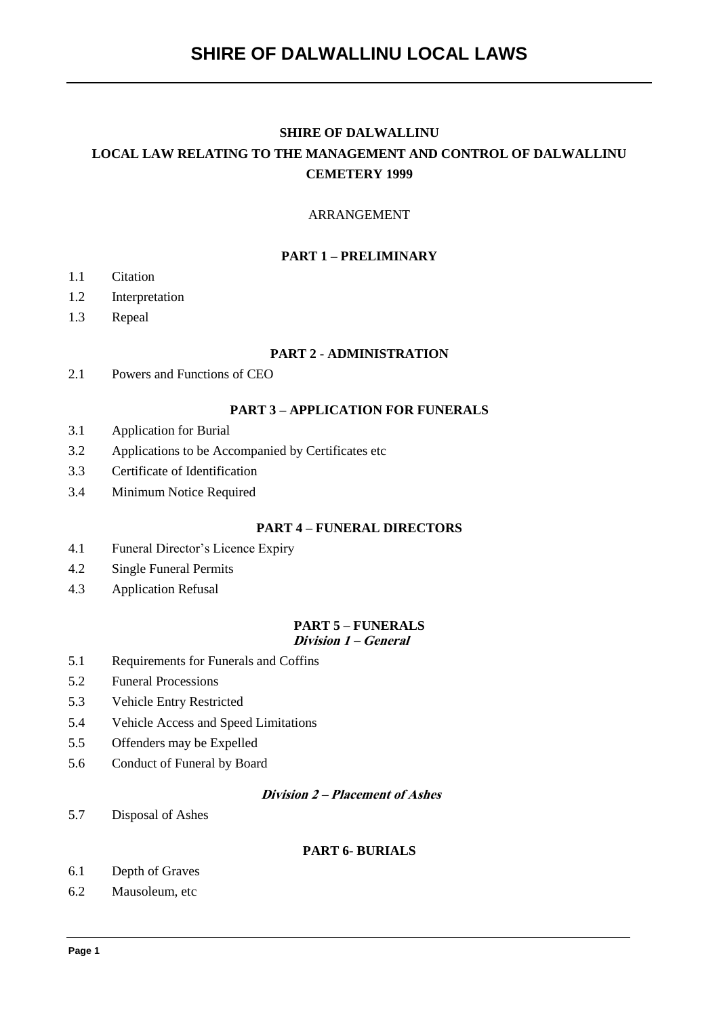# **SHIRE OF DALWALLINU LOCAL LAW RELATING TO THE MANAGEMENT AND CONTROL OF DALWALLINU CEMETERY 1999**

### ARRANGEMENT

# **PART 1 – PRELIMINARY**

- 1.1 Citation
- 1.2 Interpretation
- 1.3 Repeal

#### **PART 2 - ADMINISTRATION**

2.1 Powers and Functions of CEO

#### **PART 3 – APPLICATION FOR FUNERALS**

- 3.1 Application for Burial
- 3.2 Applications to be Accompanied by Certificates etc
- 3.3 Certificate of Identification
- 3.4 Minimum Notice Required

## **PART 4 – FUNERAL DIRECTORS**

- 4.1 Funeral Director's Licence Expiry
- 4.2 Single Funeral Permits
- 4.3 Application Refusal

#### **PART 5 – FUNERALS Division 1 – General**

- 5.1 Requirements for Funerals and Coffins
- 5.2 Funeral Processions
- 5.3 Vehicle Entry Restricted
- 5.4 Vehicle Access and Speed Limitations
- 5.5 Offenders may be Expelled
- 5.6 Conduct of Funeral by Board

# **Division 2 – Placement of Ashes**

5.7 Disposal of Ashes

#### **PART 6- BURIALS**

- 6.1 Depth of Graves
- 6.2 Mausoleum, etc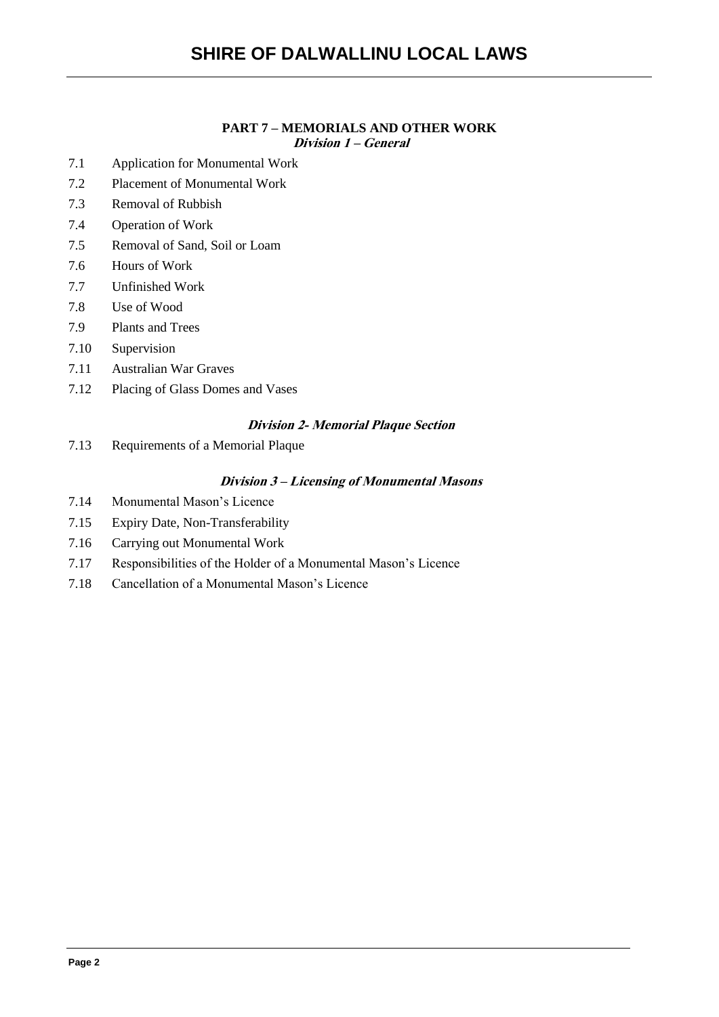# **PART 7 – MEMORIALS AND OTHER WORK**

**Division 1 – General**

- 7.1 Application for Monumental Work
- 7.2 Placement of Monumental Work
- 7.3 Removal of Rubbish
- 7.4 Operation of Work
- 7.5 Removal of Sand, Soil or Loam
- 7.6 Hours of Work
- 7.7 Unfinished Work
- 7.8 Use of Wood
- 7.9 Plants and Trees
- 7.10 Supervision
- 7.11 Australian War Graves
- 7.12 Placing of Glass Domes and Vases

# **Division 2- Memorial Plaque Section**

7.13 Requirements of a Memorial Plaque

# **Division 3 – Licensing of Monumental Masons**

- 7.14 Monumental Mason's Licence
- 7.15 Expiry Date, Non-Transferability
- 7.16 Carrying out Monumental Work
- 7.17 Responsibilities of the Holder of a Monumental Mason's Licence
- 7.18 Cancellation of a Monumental Mason's Licence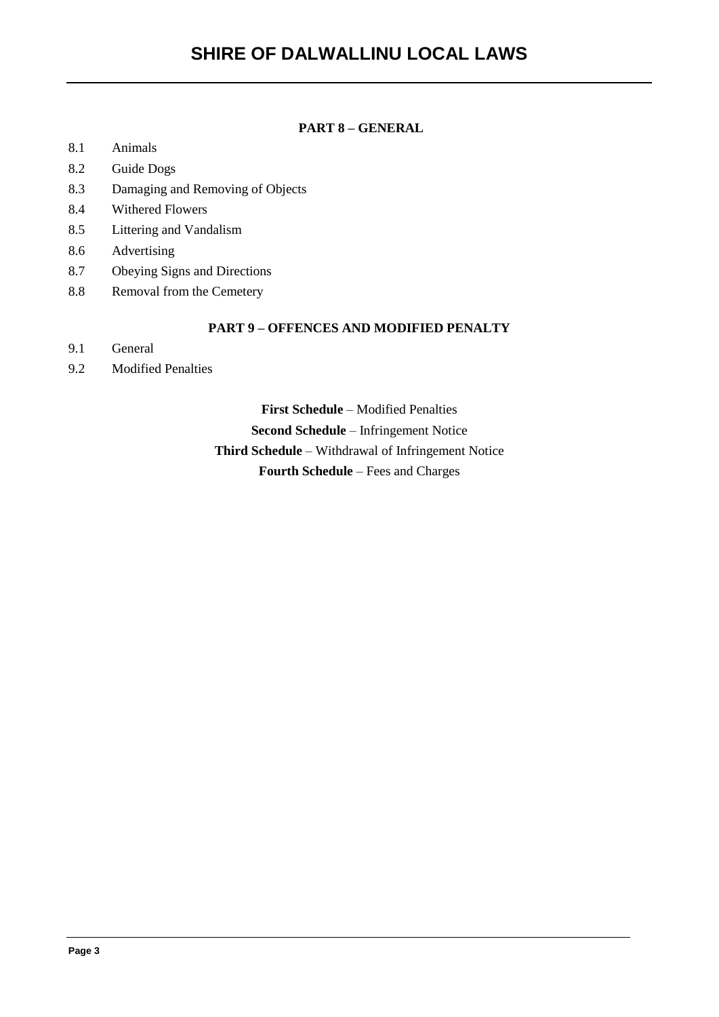# **PART 8 – GENERAL**

- 8.1 Animals
- 8.2 Guide Dogs
- 8.3 Damaging and Removing of Objects
- 8.4 Withered Flowers
- 8.5 Littering and Vandalism
- 8.6 Advertising
- 8.7 Obeying Signs and Directions
- 8.8 Removal from the Cemetery

# **PART 9 – OFFENCES AND MODIFIED PENALTY**

- 9.1 General
- 9.2 Modified Penalties

**First Schedule** – Modified Penalties **Second Schedule** – Infringement Notice **Third Schedule** – Withdrawal of Infringement Notice **Fourth Schedule** – Fees and Charges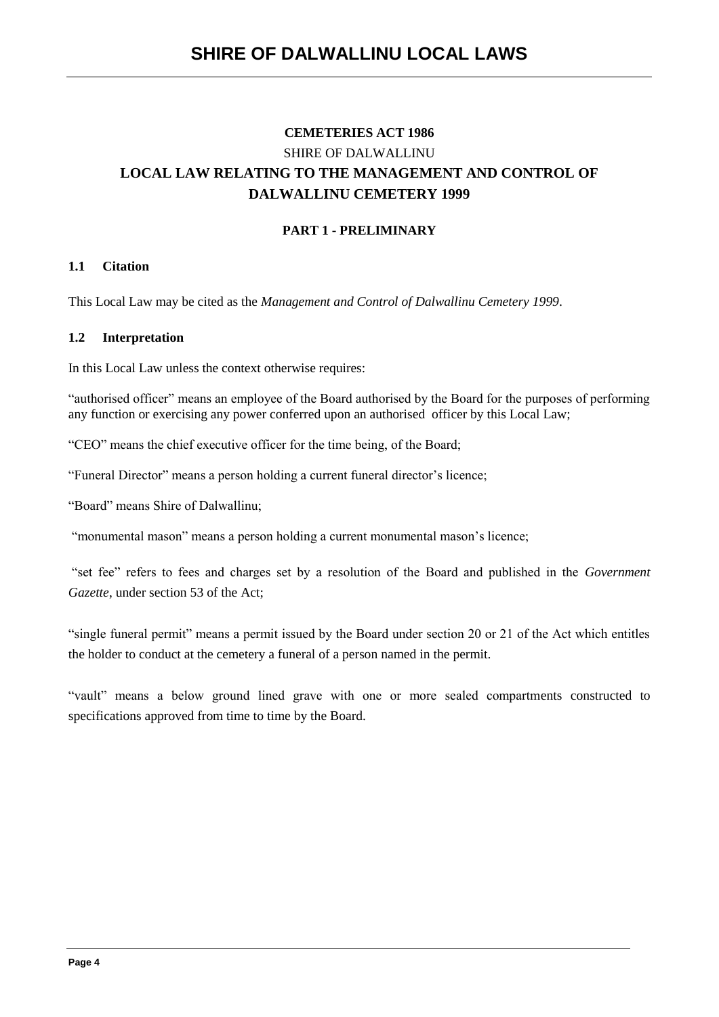# **CEMETERIES ACT 1986** SHIRE OF DALWALLINU **LOCAL LAW RELATING TO THE MANAGEMENT AND CONTROL OF DALWALLINU CEMETERY 1999**

# **PART 1 - PRELIMINARY**

# **1.1 Citation**

This Local Law may be cited as the *Management and Control of Dalwallinu Cemetery 1999*.

### **1.2 Interpretation**

In this Local Law unless the context otherwise requires:

"authorised officer" means an employee of the Board authorised by the Board for the purposes of performing any function or exercising any power conferred upon an authorised officer by this Local Law;

"CEO" means the chief executive officer for the time being, of the Board;

"Funeral Director" means a person holding a current funeral director's licence;

"Board" means Shire of Dalwallinu;

"monumental mason" means a person holding a current monumental mason's licence;

"set fee" refers to fees and charges set by a resolution of the Board and published in the *Government Gazette*, under section 53 of the Act;

"single funeral permit" means a permit issued by the Board under section 20 or 21 of the Act which entitles the holder to conduct at the cemetery a funeral of a person named in the permit.

"vault" means a below ground lined grave with one or more sealed compartments constructed to specifications approved from time to time by the Board.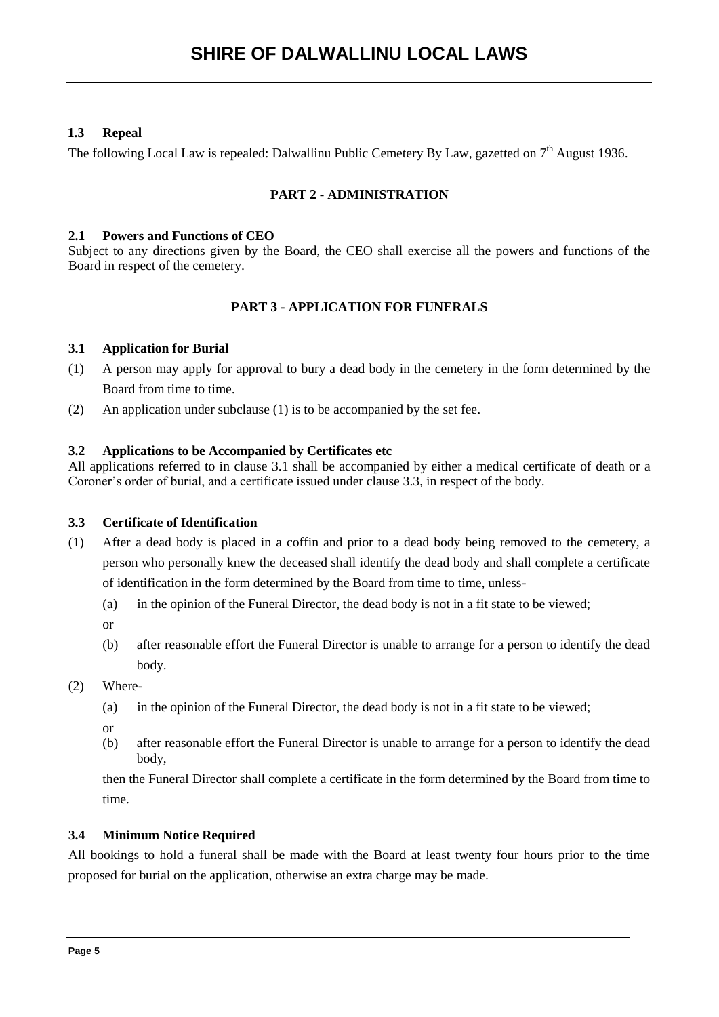# **1.3 Repeal**

The following Local Law is repealed: Dalwallinu Public Cemetery By Law, gazetted on  $7<sup>th</sup>$  August 1936.

# **PART 2 - ADMINISTRATION**

#### **2.1 Powers and Functions of CEO**

Subject to any directions given by the Board, the CEO shall exercise all the powers and functions of the Board in respect of the cemetery.

# **PART 3 - APPLICATION FOR FUNERALS**

### **3.1 Application for Burial**

- (1) A person may apply for approval to bury a dead body in the cemetery in the form determined by the Board from time to time.
- (2) An application under subclause (1) is to be accompanied by the set fee.

### **3.2 Applications to be Accompanied by Certificates etc**

All applications referred to in clause 3.1 shall be accompanied by either a medical certificate of death or a Coroner's order of burial, and a certificate issued under clause 3.3, in respect of the body.

#### **3.3 Certificate of Identification**

- (1) After a dead body is placed in a coffin and prior to a dead body being removed to the cemetery, a person who personally knew the deceased shall identify the dead body and shall complete a certificate of identification in the form determined by the Board from time to time, unless-
	- (a) in the opinion of the Funeral Director, the dead body is not in a fit state to be viewed;
	- or
	- (b) after reasonable effort the Funeral Director is unable to arrange for a person to identify the dead body.
- (2) Where-
	- (a) in the opinion of the Funeral Director, the dead body is not in a fit state to be viewed;
	- or
	- (b) after reasonable effort the Funeral Director is unable to arrange for a person to identify the dead body,

then the Funeral Director shall complete a certificate in the form determined by the Board from time to time.

# **3.4 Minimum Notice Required**

All bookings to hold a funeral shall be made with the Board at least twenty four hours prior to the time proposed for burial on the application, otherwise an extra charge may be made.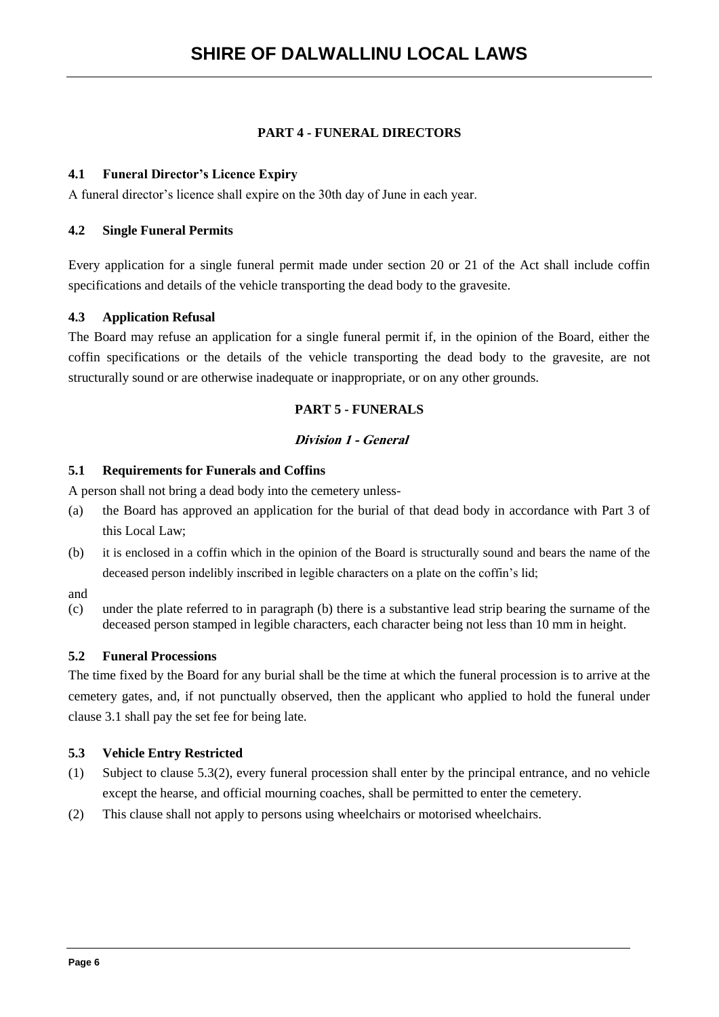# **PART 4 - FUNERAL DIRECTORS**

### **4.1 Funeral Director's Licence Expiry**

A funeral director's licence shall expire on the 30th day of June in each year.

### **4.2 Single Funeral Permits**

Every application for a single funeral permit made under section 20 or 21 of the Act shall include coffin specifications and details of the vehicle transporting the dead body to the gravesite.

### **4.3 Application Refusal**

The Board may refuse an application for a single funeral permit if, in the opinion of the Board, either the coffin specifications or the details of the vehicle transporting the dead body to the gravesite, are not structurally sound or are otherwise inadequate or inappropriate, or on any other grounds.

# **PART 5 - FUNERALS**

### **Division 1 - General**

#### **5.1 Requirements for Funerals and Coffins**

A person shall not bring a dead body into the cemetery unless-

- (a) the Board has approved an application for the burial of that dead body in accordance with Part 3 of this Local Law;
- (b) it is enclosed in a coffin which in the opinion of the Board is structurally sound and bears the name of the deceased person indelibly inscribed in legible characters on a plate on the coffin's lid;
- and
- (c) under the plate referred to in paragraph (b) there is a substantive lead strip bearing the surname of the deceased person stamped in legible characters, each character being not less than 10 mm in height.

#### **5.2 Funeral Processions**

The time fixed by the Board for any burial shall be the time at which the funeral procession is to arrive at the cemetery gates, and, if not punctually observed, then the applicant who applied to hold the funeral under clause 3.1 shall pay the set fee for being late.

#### **5.3 Vehicle Entry Restricted**

- (1) Subject to clause 5.3(2), every funeral procession shall enter by the principal entrance, and no vehicle except the hearse, and official mourning coaches, shall be permitted to enter the cemetery.
- (2) This clause shall not apply to persons using wheelchairs or motorised wheelchairs.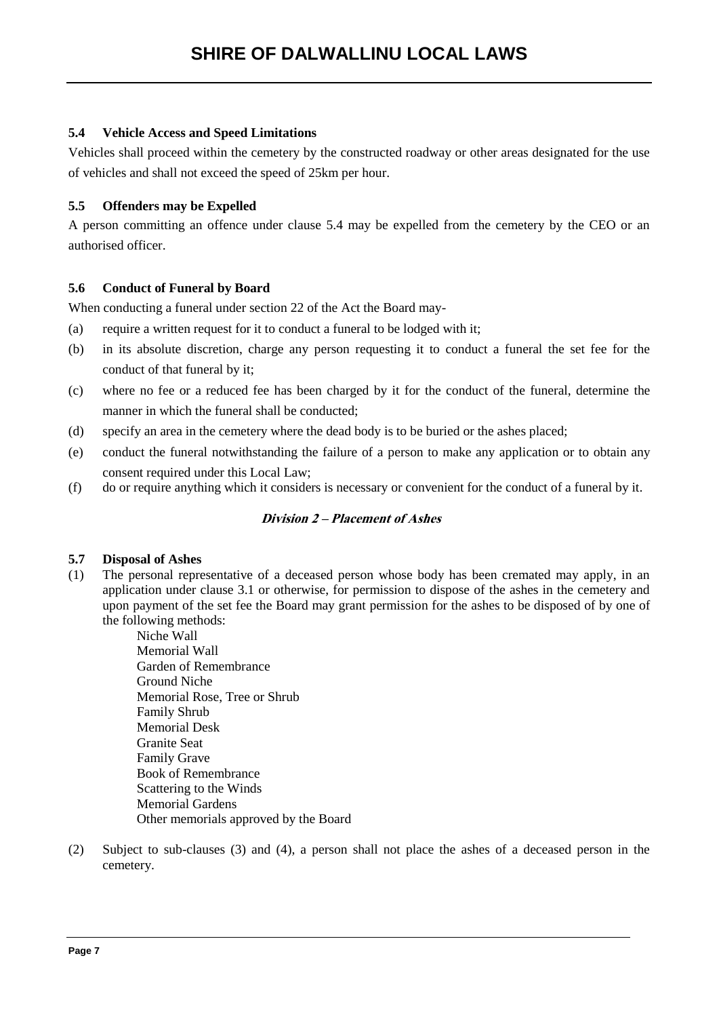## **5.4 Vehicle Access and Speed Limitations**

Vehicles shall proceed within the cemetery by the constructed roadway or other areas designated for the use of vehicles and shall not exceed the speed of 25km per hour.

### **5.5 Offenders may be Expelled**

A person committing an offence under clause 5.4 may be expelled from the cemetery by the CEO or an authorised officer.

### **5.6 Conduct of Funeral by Board**

When conducting a funeral under section 22 of the Act the Board may-

- (a) require a written request for it to conduct a funeral to be lodged with it;
- (b) in its absolute discretion, charge any person requesting it to conduct a funeral the set fee for the conduct of that funeral by it;
- (c) where no fee or a reduced fee has been charged by it for the conduct of the funeral, determine the manner in which the funeral shall be conducted;
- (d) specify an area in the cemetery where the dead body is to be buried or the ashes placed;
- (e) conduct the funeral notwithstanding the failure of a person to make any application or to obtain any consent required under this Local Law;
- (f) do or require anything which it considers is necessary or convenient for the conduct of a funeral by it.

# **Division 2 – Placement of Ashes**

#### **5.7 Disposal of Ashes**

- (1) The personal representative of a deceased person whose body has been cremated may apply, in an application under clause 3.1 or otherwise, for permission to dispose of the ashes in the cemetery and upon payment of the set fee the Board may grant permission for the ashes to be disposed of by one of the following methods:
	- Niche Wall Memorial Wall Garden of Remembrance Ground Niche Memorial Rose, Tree or Shrub Family Shrub Memorial Desk Granite Seat Family Grave Book of Remembrance Scattering to the Winds Memorial Gardens Other memorials approved by the Board
- (2) Subject to sub-clauses (3) and (4), a person shall not place the ashes of a deceased person in the cemetery.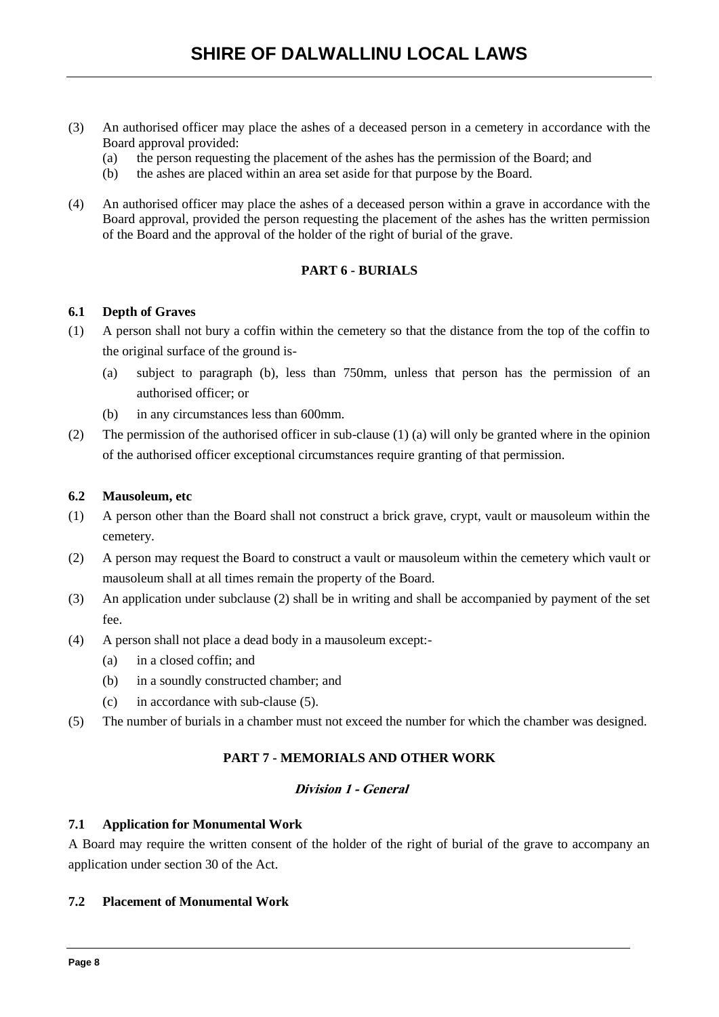- (3) An authorised officer may place the ashes of a deceased person in a cemetery in accordance with the Board approval provided:
	- (a) the person requesting the placement of the ashes has the permission of the Board; and
	- (b) the ashes are placed within an area set aside for that purpose by the Board.
- (4) An authorised officer may place the ashes of a deceased person within a grave in accordance with the Board approval, provided the person requesting the placement of the ashes has the written permission of the Board and the approval of the holder of the right of burial of the grave.

# **PART 6 - BURIALS**

#### **6.1 Depth of Graves**

- (1) A person shall not bury a coffin within the cemetery so that the distance from the top of the coffin to the original surface of the ground is-
	- (a) subject to paragraph (b), less than 750mm, unless that person has the permission of an authorised officer; or
	- (b) in any circumstances less than 600mm.
- (2) The permission of the authorised officer in sub-clause (1) (a) will only be granted where in the opinion of the authorised officer exceptional circumstances require granting of that permission.

#### **6.2 Mausoleum, etc**

- (1) A person other than the Board shall not construct a brick grave, crypt, vault or mausoleum within the cemetery.
- (2) A person may request the Board to construct a vault or mausoleum within the cemetery which vault or mausoleum shall at all times remain the property of the Board.
- (3) An application under subclause (2) shall be in writing and shall be accompanied by payment of the set fee.
- (4) A person shall not place a dead body in a mausoleum except:-
	- (a) in a closed coffin; and
	- (b) in a soundly constructed chamber; and
	- (c) in accordance with sub-clause (5).
- (5) The number of burials in a chamber must not exceed the number for which the chamber was designed.

# **PART 7 - MEMORIALS AND OTHER WORK**

### **Division 1 - General**

#### **7.1 Application for Monumental Work**

A Board may require the written consent of the holder of the right of burial of the grave to accompany an application under section 30 of the Act.

#### **7.2 Placement of Monumental Work**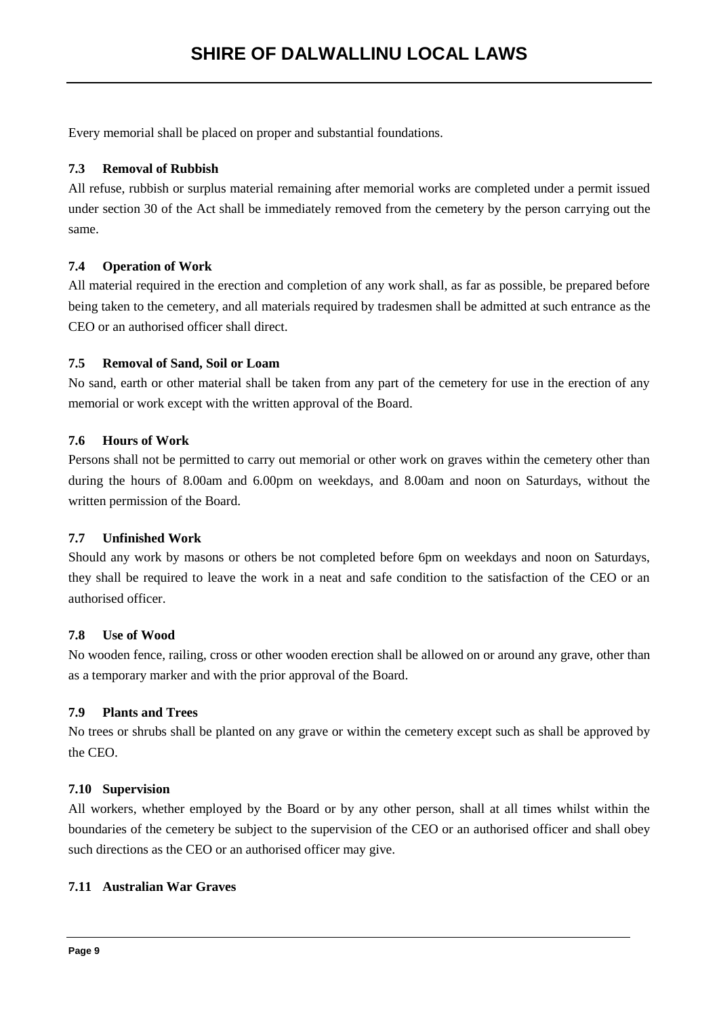Every memorial shall be placed on proper and substantial foundations.

## **7.3 Removal of Rubbish**

All refuse, rubbish or surplus material remaining after memorial works are completed under a permit issued under section 30 of the Act shall be immediately removed from the cemetery by the person carrying out the same.

### **7.4 Operation of Work**

All material required in the erection and completion of any work shall, as far as possible, be prepared before being taken to the cemetery, and all materials required by tradesmen shall be admitted at such entrance as the CEO or an authorised officer shall direct.

### **7.5 Removal of Sand, Soil or Loam**

No sand, earth or other material shall be taken from any part of the cemetery for use in the erection of any memorial or work except with the written approval of the Board.

## **7.6 Hours of Work**

Persons shall not be permitted to carry out memorial or other work on graves within the cemetery other than during the hours of 8.00am and 6.00pm on weekdays, and 8.00am and noon on Saturdays, without the written permission of the Board.

#### **7.7 Unfinished Work**

Should any work by masons or others be not completed before 6pm on weekdays and noon on Saturdays, they shall be required to leave the work in a neat and safe condition to the satisfaction of the CEO or an authorised officer.

#### **7.8 Use of Wood**

No wooden fence, railing, cross or other wooden erection shall be allowed on or around any grave, other than as a temporary marker and with the prior approval of the Board.

# **7.9 Plants and Trees**

No trees or shrubs shall be planted on any grave or within the cemetery except such as shall be approved by the CEO.

#### **7.10 Supervision**

All workers, whether employed by the Board or by any other person, shall at all times whilst within the boundaries of the cemetery be subject to the supervision of the CEO or an authorised officer and shall obey such directions as the CEO or an authorised officer may give.

#### **7.11 Australian War Graves**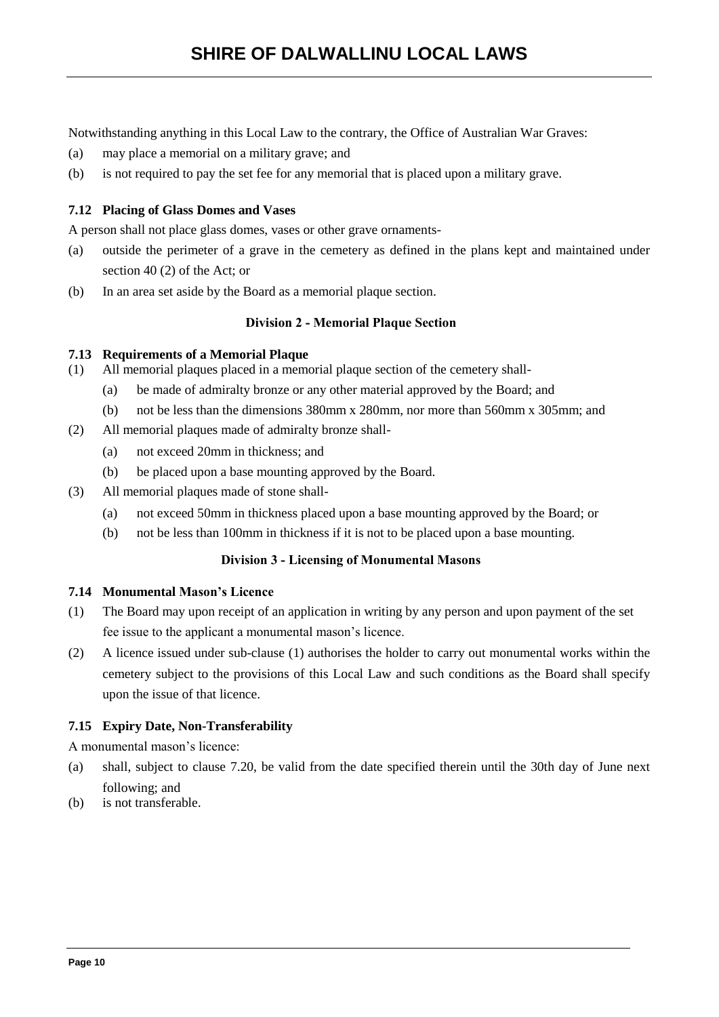Notwithstanding anything in this Local Law to the contrary, the Office of Australian War Graves:

- (a) may place a memorial on a military grave; and
- (b) is not required to pay the set fee for any memorial that is placed upon a military grave.

## **7.12 Placing of Glass Domes and Vases**

A person shall not place glass domes, vases or other grave ornaments-

- (a) outside the perimeter of a grave in the cemetery as defined in the plans kept and maintained under section 40 (2) of the Act; or
- (b) In an area set aside by the Board as a memorial plaque section.

#### **Division 2 - Memorial Plaque Section**

#### **7.13 Requirements of a Memorial Plaque**

- (1) All memorial plaques placed in a memorial plaque section of the cemetery shall-
	- (a) be made of admiralty bronze or any other material approved by the Board; and
	- (b) not be less than the dimensions 380mm x 280mm, nor more than 560mm x 305mm; and
- (2) All memorial plaques made of admiralty bronze shall-
	- (a) not exceed 20mm in thickness; and
	- (b) be placed upon a base mounting approved by the Board.
- (3) All memorial plaques made of stone shall-
	- (a) not exceed 50mm in thickness placed upon a base mounting approved by the Board; or
	- (b) not be less than 100mm in thickness if it is not to be placed upon a base mounting.

#### **Division 3 - Licensing of Monumental Masons**

### **7.14 Monumental Mason's Licence**

- (1) The Board may upon receipt of an application in writing by any person and upon payment of the set fee issue to the applicant a monumental mason's licence.
- (2) A licence issued under sub-clause (1) authorises the holder to carry out monumental works within the cemetery subject to the provisions of this Local Law and such conditions as the Board shall specify upon the issue of that licence.

#### **7.15 Expiry Date, Non-Transferability**

A monumental mason's licence:

- (a) shall, subject to clause 7.20, be valid from the date specified therein until the 30th day of June next following; and
- (b) is not transferable.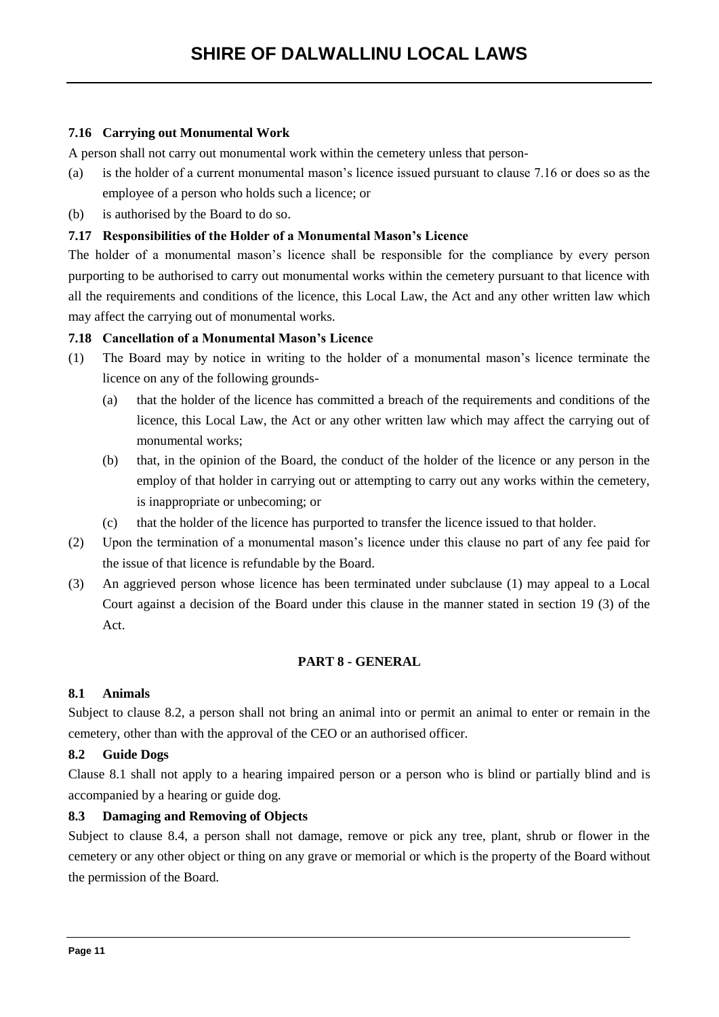# **7.16 Carrying out Monumental Work**

A person shall not carry out monumental work within the cemetery unless that person-

- (a) is the holder of a current monumental mason's licence issued pursuant to clause 7.16 or does so as the employee of a person who holds such a licence; or
- (b) is authorised by the Board to do so.

#### **7.17 Responsibilities of the Holder of a Monumental Mason's Licence**

The holder of a monumental mason's licence shall be responsible for the compliance by every person purporting to be authorised to carry out monumental works within the cemetery pursuant to that licence with all the requirements and conditions of the licence, this Local Law, the Act and any other written law which may affect the carrying out of monumental works.

### **7.18 Cancellation of a Monumental Mason's Licence**

- (1) The Board may by notice in writing to the holder of a monumental mason's licence terminate the licence on any of the following grounds-
	- (a) that the holder of the licence has committed a breach of the requirements and conditions of the licence, this Local Law, the Act or any other written law which may affect the carrying out of monumental works;
	- (b) that, in the opinion of the Board, the conduct of the holder of the licence or any person in the employ of that holder in carrying out or attempting to carry out any works within the cemetery, is inappropriate or unbecoming; or
	- (c) that the holder of the licence has purported to transfer the licence issued to that holder.
- (2) Upon the termination of a monumental mason's licence under this clause no part of any fee paid for the issue of that licence is refundable by the Board.
- (3) An aggrieved person whose licence has been terminated under subclause (1) may appeal to a Local Court against a decision of the Board under this clause in the manner stated in section 19 (3) of the Act.

#### **PART 8 - GENERAL**

#### **8.1 Animals**

Subject to clause 8.2, a person shall not bring an animal into or permit an animal to enter or remain in the cemetery, other than with the approval of the CEO or an authorised officer.

#### **8.2 Guide Dogs**

Clause 8.1 shall not apply to a hearing impaired person or a person who is blind or partially blind and is accompanied by a hearing or guide dog.

#### **8.3 Damaging and Removing of Objects**

Subject to clause 8.4, a person shall not damage, remove or pick any tree, plant, shrub or flower in the cemetery or any other object or thing on any grave or memorial or which is the property of the Board without the permission of the Board.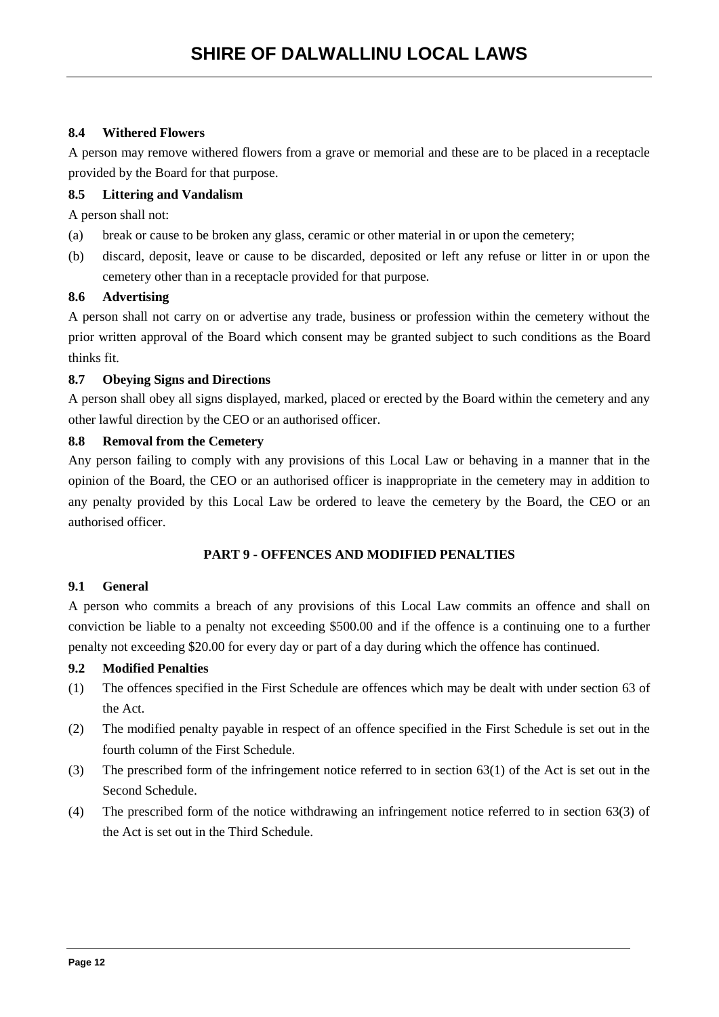# **8.4 Withered Flowers**

A person may remove withered flowers from a grave or memorial and these are to be placed in a receptacle provided by the Board for that purpose.

# **8.5 Littering and Vandalism**

A person shall not:

- (a) break or cause to be broken any glass, ceramic or other material in or upon the cemetery;
- (b) discard, deposit, leave or cause to be discarded, deposited or left any refuse or litter in or upon the cemetery other than in a receptacle provided for that purpose.

#### **8.6 Advertising**

A person shall not carry on or advertise any trade, business or profession within the cemetery without the prior written approval of the Board which consent may be granted subject to such conditions as the Board thinks fit.

### **8.7 Obeying Signs and Directions**

A person shall obey all signs displayed, marked, placed or erected by the Board within the cemetery and any other lawful direction by the CEO or an authorised officer.

### **8.8 Removal from the Cemetery**

Any person failing to comply with any provisions of this Local Law or behaving in a manner that in the opinion of the Board, the CEO or an authorised officer is inappropriate in the cemetery may in addition to any penalty provided by this Local Law be ordered to leave the cemetery by the Board, the CEO or an authorised officer.

# **PART 9 - OFFENCES AND MODIFIED PENALTIES**

#### **9.1 General**

A person who commits a breach of any provisions of this Local Law commits an offence and shall on conviction be liable to a penalty not exceeding \$500.00 and if the offence is a continuing one to a further penalty not exceeding \$20.00 for every day or part of a day during which the offence has continued.

#### **9.2 Modified Penalties**

- (1) The offences specified in the First Schedule are offences which may be dealt with under section 63 of the Act.
- (2) The modified penalty payable in respect of an offence specified in the First Schedule is set out in the fourth column of the First Schedule.
- (3) The prescribed form of the infringement notice referred to in section 63(1) of the Act is set out in the Second Schedule.
- (4) The prescribed form of the notice withdrawing an infringement notice referred to in section 63(3) of the Act is set out in the Third Schedule.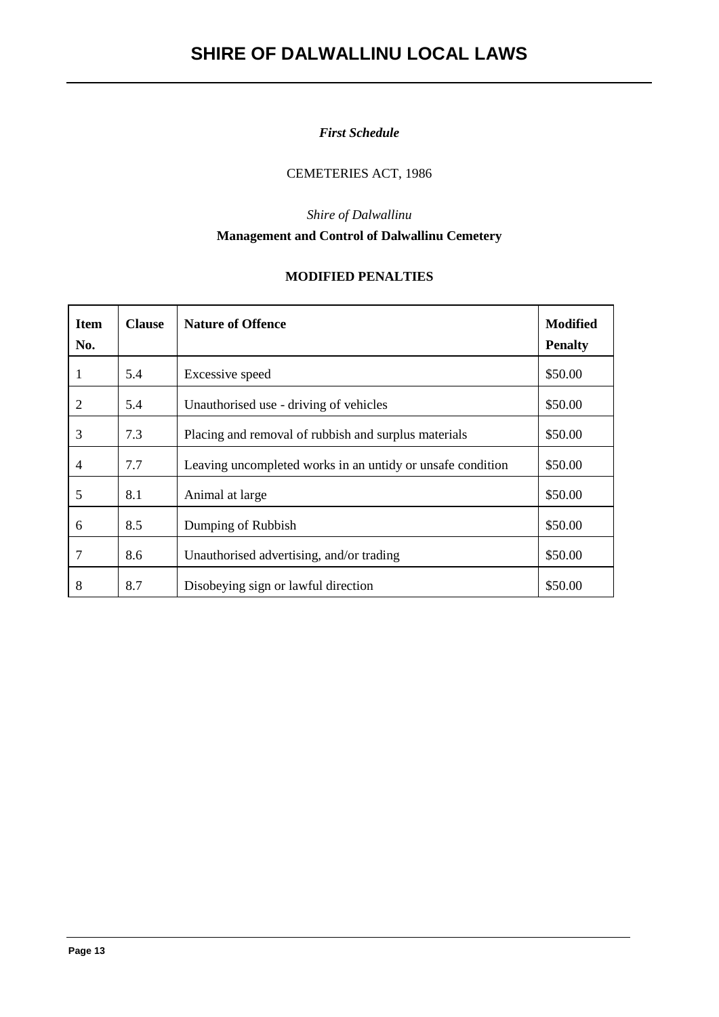# *First Schedule*

# CEMETERIES ACT, 1986

# *Shire of Dalwallinu* **Management and Control of Dalwallinu Cemetery**

# **MODIFIED PENALTIES**

| <b>Item</b><br>No. | <b>Clause</b> | <b>Nature of Offence</b>                                   | <b>Modified</b><br><b>Penalty</b> |  |  |
|--------------------|---------------|------------------------------------------------------------|-----------------------------------|--|--|
| 1                  | 5.4           | Excessive speed                                            | \$50.00                           |  |  |
| 2                  | 5.4           | Unauthorised use - driving of vehicles                     | \$50.00                           |  |  |
| 3                  | 7.3           | Placing and removal of rubbish and surplus materials       | \$50.00                           |  |  |
| $\overline{4}$     | 7.7           | Leaving uncompleted works in an untidy or unsafe condition | \$50.00                           |  |  |
| 5                  | 8.1           | Animal at large                                            | \$50.00                           |  |  |
| 6                  | 8.5           | Dumping of Rubbish                                         | \$50.00                           |  |  |
| 7                  | 8.6           | Unauthorised advertising, and/or trading                   | \$50.00                           |  |  |
| 8                  | 8.7           | Disobeying sign or lawful direction                        | \$50.00                           |  |  |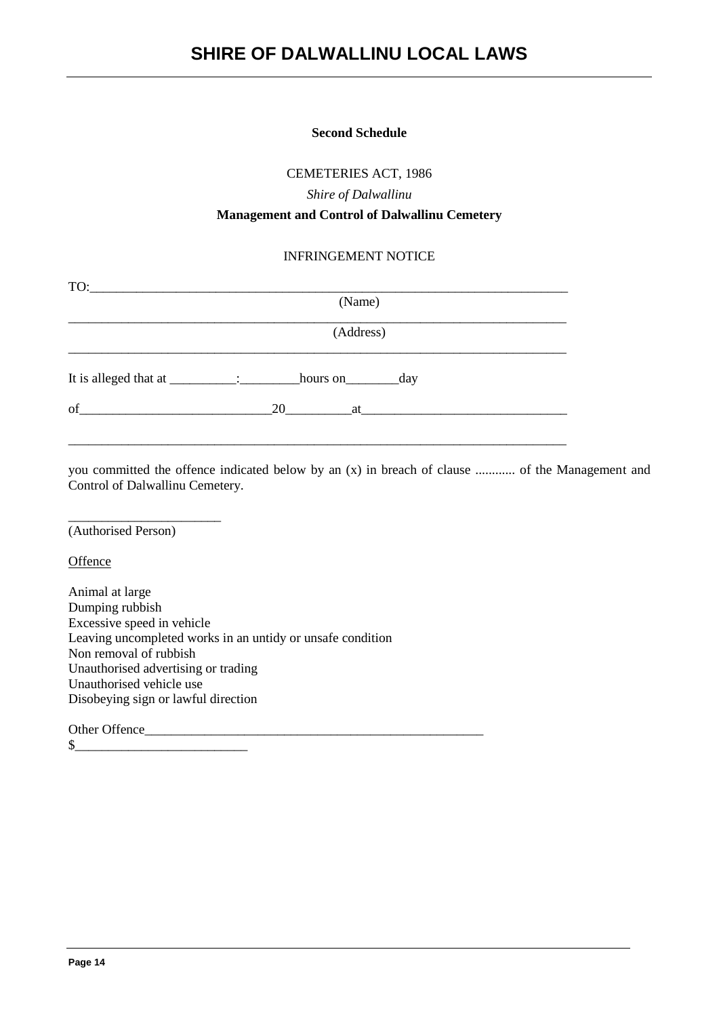#### **Second Schedule**

CEMETERIES ACT, 1986

*Shire of Dalwallinu*

#### **Management and Control of Dalwallinu Cemetery**

### INFRINGEMENT NOTICE

| (Name)                                                                                                                                                                                                                               |  |
|--------------------------------------------------------------------------------------------------------------------------------------------------------------------------------------------------------------------------------------|--|
| (Address)                                                                                                                                                                                                                            |  |
| hours on _______________day                                                                                                                                                                                                          |  |
| 20<br>at the contract of the contract of the contract of the contract of the contract of the contract of the contract of the contract of the contract of the contract of the contract of the contract of the contract of the contrac |  |
|                                                                                                                                                                                                                                      |  |

you committed the offence indicated below by an (x) in breach of clause ............ of the Management and Control of Dalwallinu Cemetery.

\_\_\_\_\_\_\_\_\_\_\_\_\_\_\_\_\_\_\_\_\_\_\_ (Authorised Person)

**Offence** 

Animal at large Dumping rubbish Excessive speed in vehicle Leaving uncompleted works in an untidy or unsafe condition Non removal of rubbish Unauthorised advertising or trading Unauthorised vehicle use Disobeying sign or lawful direction

Other Offence

 $\circ$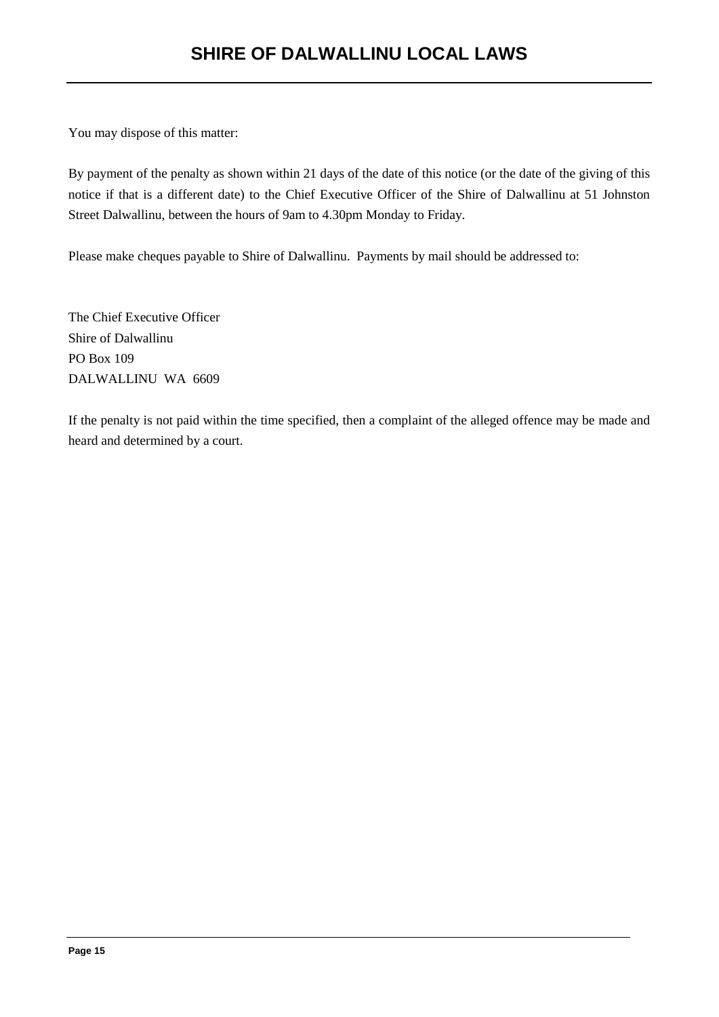You may dispose of this matter:

By payment of the penalty as shown within 21 days of the date of this notice (or the date of the giving of this notice if that is a different date) to the Chief Executive Officer of the Shire of Dalwallinu at 51 Johnston Street Dalwallinu, between the hours of 9am to 4.30pm Monday to Friday.

Please make cheques payable to Shire of Dalwallinu. Payments by mail should be addressed to:

The Chief Executive Officer Shire of Dalwallinu PO Box 109 DALWALLINU WA 6609

If the penalty is not paid within the time specified, then a complaint of the alleged offence may be made and heard and determined by a court.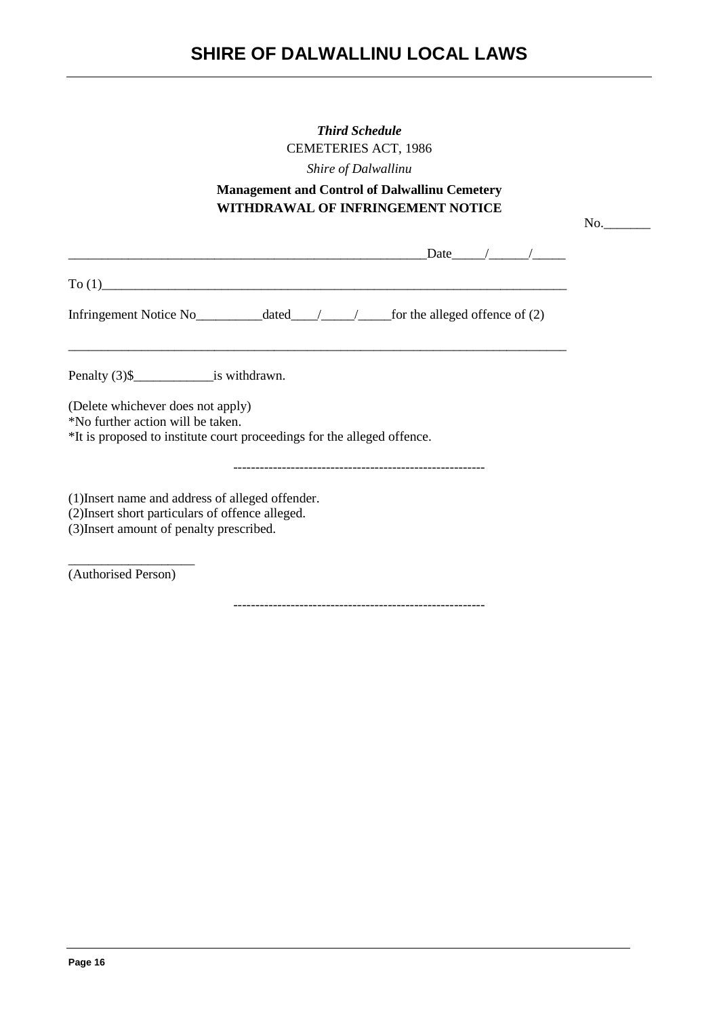| <b>Third Schedule</b><br><b>CEMETERIES ACT, 1986</b><br>Shire of Dalwallinu<br><b>Management and Control of Dalwallinu Cemetery</b><br>WITHDRAWAL OF INFRINGEMENT NOTICE |     |
|--------------------------------------------------------------------------------------------------------------------------------------------------------------------------|-----|
| $\text{Date}$ / / /<br><u> 1980 - Johann Barn, mars ann an Cathrigh American ann an t-American ann an t-American ann an t-American ann a</u>                             | No. |
| To (1)                                                                                                                                                                   |     |
|                                                                                                                                                                          |     |
| Penalty (3)\$___________________is withdrawn.                                                                                                                            |     |
| (Delete whichever does not apply)<br>*No further action will be taken.<br>*It is proposed to institute court proceedings for the alleged offence.                        |     |
| (1) Insert name and address of alleged offender.<br>(2) Insert short particulars of offence alleged.<br>(3) Insert amount of penalty prescribed.                         |     |
| (Authorised Person)                                                                                                                                                      |     |
|                                                                                                                                                                          |     |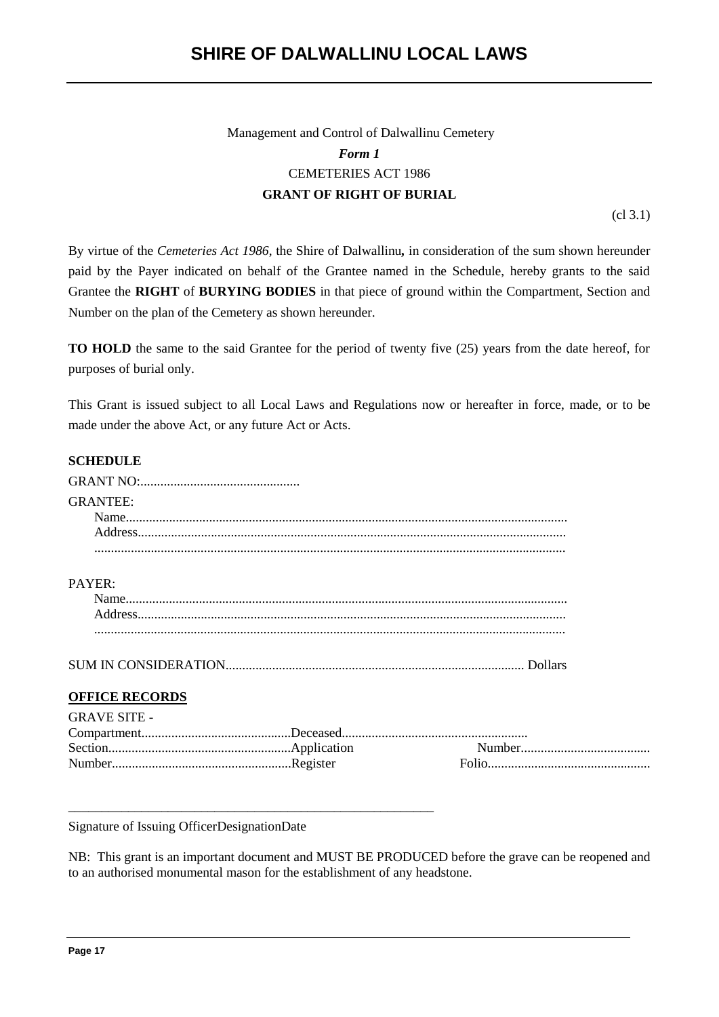# Management and Control of Dalwallinu Cemetery *Form 1* CEMETERIES ACT 1986 **GRANT OF RIGHT OF BURIAL**

(cl 3.1)

By virtue of the *Cemeteries Act 1986*, the Shire of Dalwallinu*,* in consideration of the sum shown hereunder paid by the Payer indicated on behalf of the Grantee named in the Schedule, hereby grants to the said Grantee the **RIGHT** of **BURYING BODIES** in that piece of ground within the Compartment, Section and Number on the plan of the Cemetery as shown hereunder.

**TO HOLD** the same to the said Grantee for the period of twenty five (25) years from the date hereof, for purposes of burial only.

This Grant is issued subject to all Local Laws and Regulations now or hereafter in force, made, or to be made under the above Act, or any future Act or Acts.

# **SCHEDULE**

| <b>GRANTEE:</b>       |  |
|-----------------------|--|
|                       |  |
|                       |  |
|                       |  |
| PAYER:                |  |
|                       |  |
|                       |  |
|                       |  |
|                       |  |
| <b>OFFICE RECORDS</b> |  |
| <b>GRAVE SITE -</b>   |  |
|                       |  |
|                       |  |
|                       |  |
|                       |  |
|                       |  |
|                       |  |

Signature of Issuing OfficerDesignationDate

NB: This grant is an important document and MUST BE PRODUCED before the grave can be reopened and to an authorised monumental mason for the establishment of any headstone.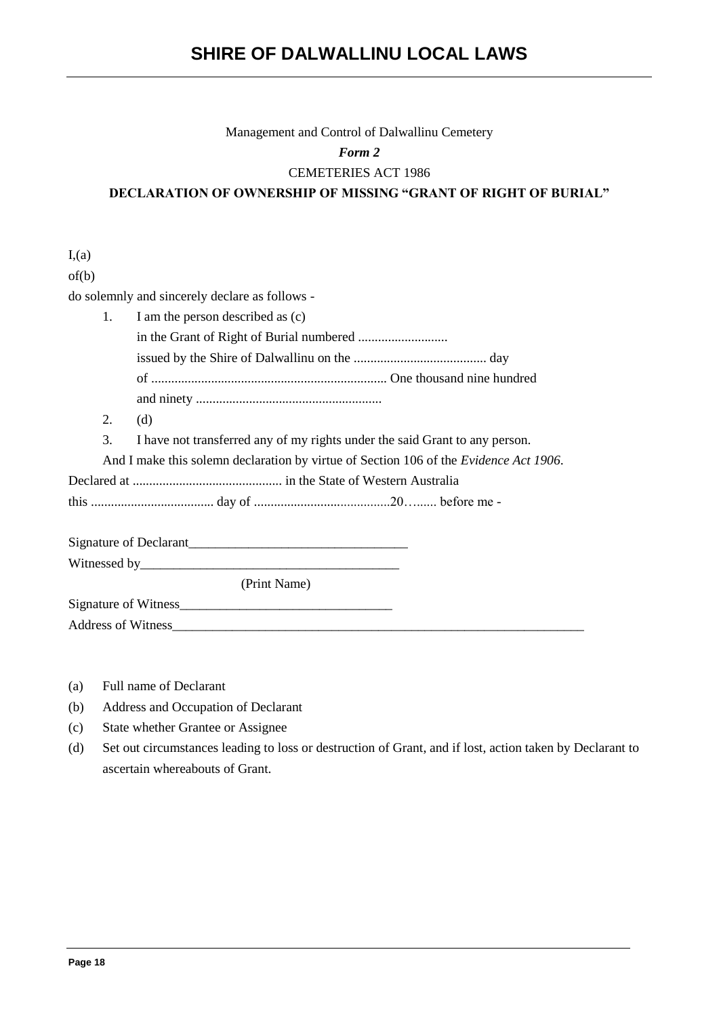#### Management and Control of Dalwallinu Cemetery

*Form 2*

#### CEMETERIES ACT 1986

**DECLARATION OF OWNERSHIP OF MISSING "GRANT OF RIGHT OF BURIAL"**

 $I<sub>1</sub>(a)$ of(b) do solemnly and sincerely declare as follows - 1. I am the person described as (c) in the Grant of Right of Burial numbered ........................... issued by the Shire of Dalwallinu on the ........................................ day of ....................................................................... One thousand nine hundred and ninety ........................................................ 2. (d) 3. I have not transferred any of my rights under the said Grant to any person. And I make this solemn declaration by virtue of Section 106 of the *Evidence Act 1906*. Declared at ............................................. in the State of Western Australia this ..................................... day of .........................................20…...... before me - Signature of Declarant\_\_\_\_\_\_\_\_\_\_\_\_\_\_\_\_\_\_\_\_\_\_\_\_\_\_\_\_\_\_\_\_\_ Witnessed by\_\_\_\_\_\_\_\_\_\_\_\_\_\_\_\_\_\_\_\_\_\_\_\_\_\_\_\_\_\_\_\_\_\_\_\_\_\_\_ (Print Name) Signature of Witness Address of Witness\_\_\_\_\_\_\_\_\_\_\_\_\_\_\_\_\_\_\_\_\_\_\_\_\_\_\_\_\_\_\_\_\_\_\_\_\_\_\_\_\_\_\_\_\_\_\_\_\_\_\_\_\_\_\_\_\_\_\_\_\_\_

- (a) Full name of Declarant
- (b) Address and Occupation of Declarant
- (c) State whether Grantee or Assignee
- (d) Set out circumstances leading to loss or destruction of Grant, and if lost, action taken by Declarant to ascertain whereabouts of Grant.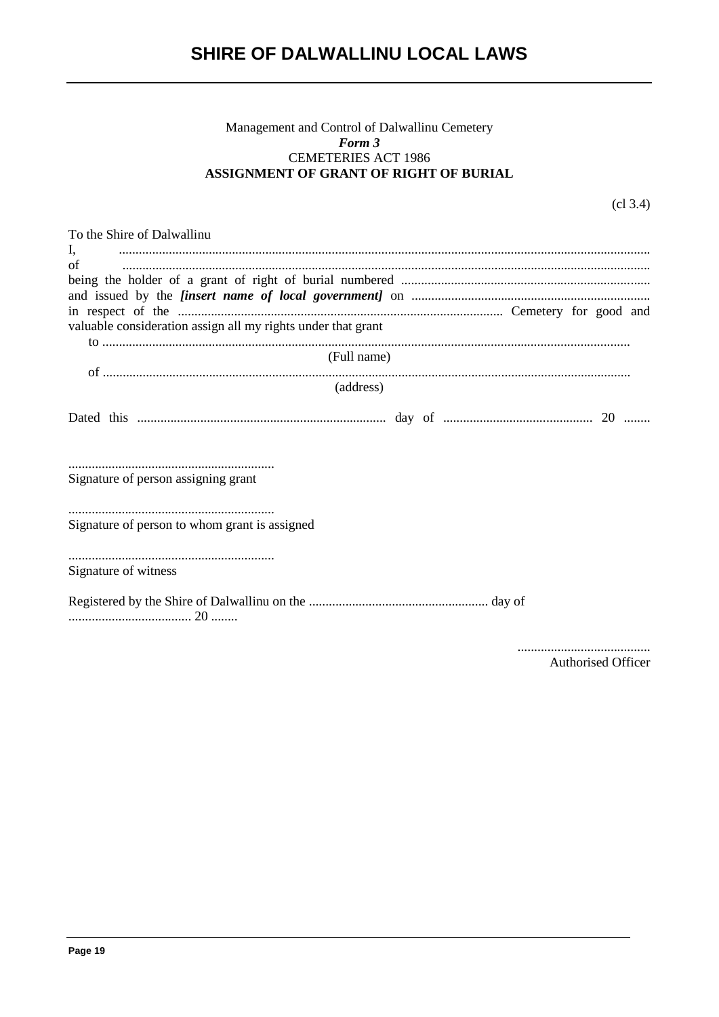# Management and Control of Dalwallinu Cemetery<br>Form 3 **CEMETERIES ACT 1986** ASSIGNMENT OF GRANT OF RIGHT OF BURIAL

 $(cl 3.4)$ 

| To the Shire of Dalwallinu                                   |  |  |  |  |  |  |  |  |  |
|--------------------------------------------------------------|--|--|--|--|--|--|--|--|--|
| Ι,                                                           |  |  |  |  |  |  |  |  |  |
| of                                                           |  |  |  |  |  |  |  |  |  |
|                                                              |  |  |  |  |  |  |  |  |  |
|                                                              |  |  |  |  |  |  |  |  |  |
| valuable consideration assign all my rights under that grant |  |  |  |  |  |  |  |  |  |
|                                                              |  |  |  |  |  |  |  |  |  |
| (Full name)                                                  |  |  |  |  |  |  |  |  |  |
|                                                              |  |  |  |  |  |  |  |  |  |
| (address)                                                    |  |  |  |  |  |  |  |  |  |
|                                                              |  |  |  |  |  |  |  |  |  |
| Signature of person assigning grant                          |  |  |  |  |  |  |  |  |  |
|                                                              |  |  |  |  |  |  |  |  |  |
| Signature of person to whom grant is assigned                |  |  |  |  |  |  |  |  |  |
| Signature of witness                                         |  |  |  |  |  |  |  |  |  |
|                                                              |  |  |  |  |  |  |  |  |  |
|                                                              |  |  |  |  |  |  |  |  |  |

Authorised Officer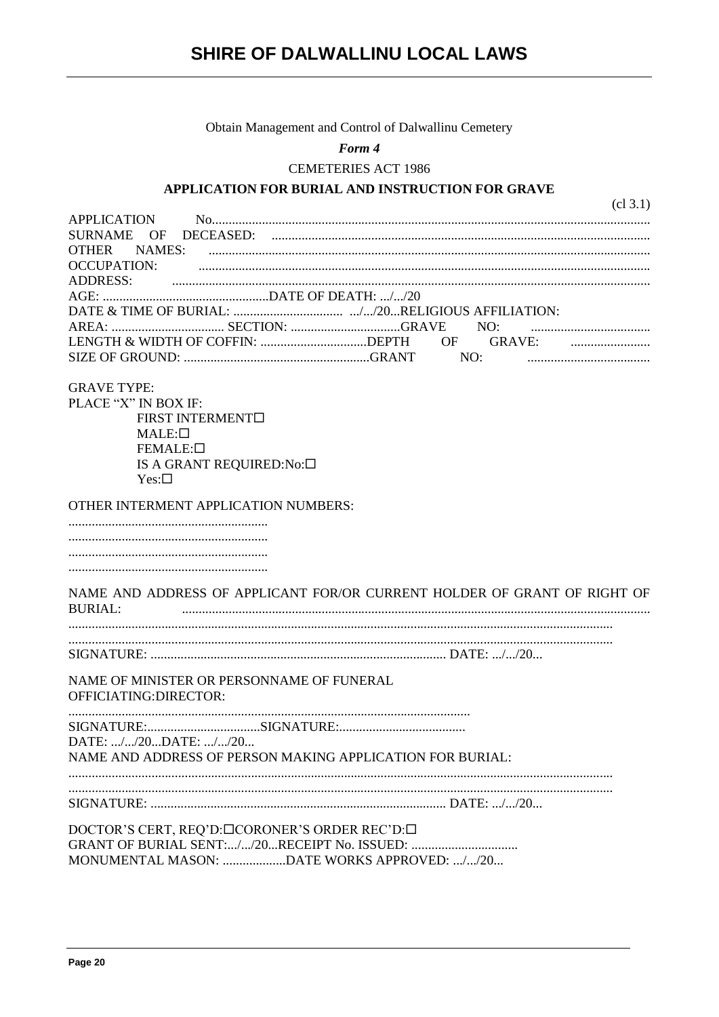# Obtain Management and Control of Dalwallinu Cemetery

Form 4

**CEMETERIES ACT 1986** 

### APPLICATION FOR BURIAL AND INSTRUCTION FOR GRAVE

|                                                                     | cl 3.1)                                                                  |
|---------------------------------------------------------------------|--------------------------------------------------------------------------|
| APPLICATION                                                         |                                                                          |
| OF DECEASED:<br><b>SURNAME</b>                                      |                                                                          |
| <b>OTHER</b>                                                        |                                                                          |
| <b>OCCUPATION:</b>                                                  |                                                                          |
| <b>ADDRESS:</b>                                                     |                                                                          |
|                                                                     |                                                                          |
|                                                                     |                                                                          |
|                                                                     |                                                                          |
|                                                                     | LENGTH & WIDTH OF COFFIN: DEPTH OF GRAVE:                                |
|                                                                     | NO:                                                                      |
| <b>GRAVE TYPE:</b>                                                  |                                                                          |
| PLACE "X" IN BOX IF:                                                |                                                                          |
|                                                                     |                                                                          |
| FIRST INTERMENT <sup>I</sup>                                        |                                                                          |
| $MALE: \square$<br>FEMALE:                                          |                                                                          |
|                                                                     |                                                                          |
| IS A GRANT REQUIRED:No:□<br>$Yes: \Box$                             |                                                                          |
| OTHER INTERMENT APPLICATION NUMBERS:                                |                                                                          |
|                                                                     |                                                                          |
|                                                                     |                                                                          |
|                                                                     |                                                                          |
|                                                                     |                                                                          |
|                                                                     |                                                                          |
| <b>BURIAL:</b>                                                      | NAME AND ADDRESS OF APPLICANT FOR/OR CURRENT HOLDER OF GRANT OF RIGHT OF |
|                                                                     |                                                                          |
|                                                                     |                                                                          |
| NAME OF MINISTER OR PERSONNAME OF FUNERAL<br>OFFICIATING: DIRECTOR: |                                                                          |
|                                                                     |                                                                          |
| DATE: //20DATE: //20                                                |                                                                          |
| NAME AND ADDRESS OF PERSON MAKING APPLICATION FOR BURIAL:           |                                                                          |
|                                                                     |                                                                          |
|                                                                     |                                                                          |
| DOCTOR'S CERT, REQ'D:□CORONER'S ORDER REC'D:□                       |                                                                          |
| GRANT OF BURIAL SENT://20RECEIPT No. ISSUED:                        |                                                                          |
| MONUMENTAL MASON: DATE WORKS APPROVED: //20                         |                                                                          |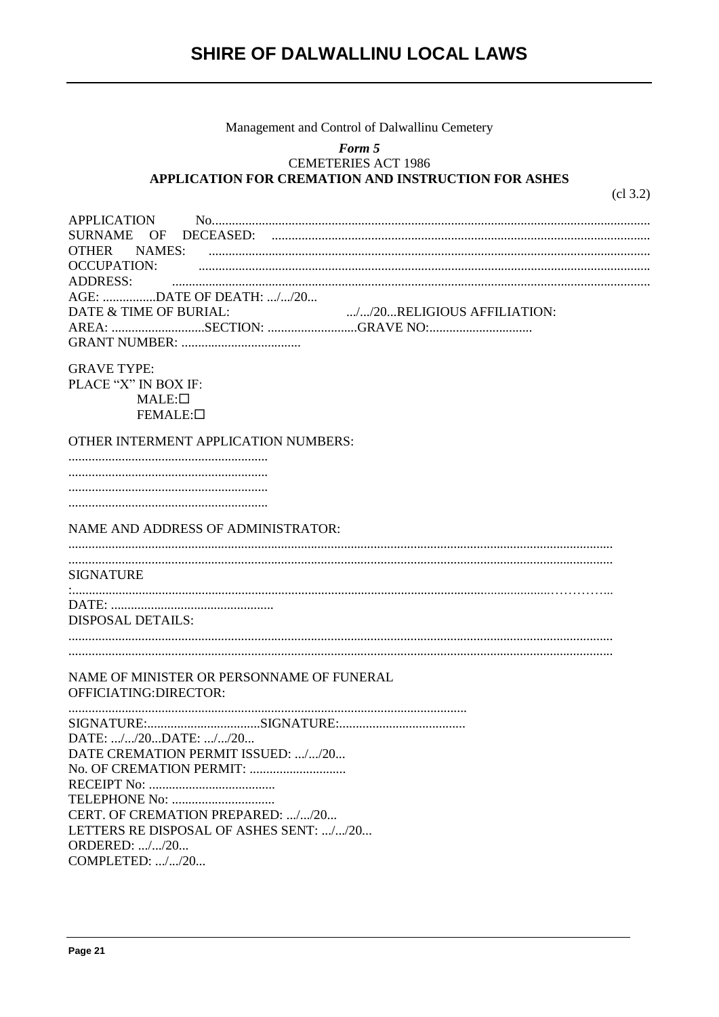# Management and Control of Dalwallinu Cemetery

#### Form 5 CEMETERIES ACT 1986 APPLICATION FOR CREMATION AND INSTRUCTION FOR ASHES

 $cl 3.2)$ 

| <b>APPLICATION</b><br><b>DECEASED:</b><br><b>SURNAME</b><br>OF<br>NAMES:<br><b>OTHER</b><br><b>OCCUPATION:</b><br><b>ADDRESS:</b><br>AGE: DATE OF DEATH: //20<br>DATE & TIME OF BURIAL:<br>//20RELIGIOUS AFFILIATION:<br>AREA: SECTION: GRAVE NO: |
|---------------------------------------------------------------------------------------------------------------------------------------------------------------------------------------------------------------------------------------------------|
| <b>GRAVE TYPE:</b><br>PLACE "X" IN BOX IF:<br>$MALE: \square$<br>FEMALE:                                                                                                                                                                          |
| OTHER INTERMENT APPLICATION NUMBERS:                                                                                                                                                                                                              |
|                                                                                                                                                                                                                                                   |
|                                                                                                                                                                                                                                                   |
|                                                                                                                                                                                                                                                   |
|                                                                                                                                                                                                                                                   |
| NAME AND ADDRESS OF ADMINISTRATOR:                                                                                                                                                                                                                |
|                                                                                                                                                                                                                                                   |
| <b>SIGNATURE</b>                                                                                                                                                                                                                                  |
|                                                                                                                                                                                                                                                   |
|                                                                                                                                                                                                                                                   |
| <b>DISPOSAL DETAILS:</b>                                                                                                                                                                                                                          |
|                                                                                                                                                                                                                                                   |
|                                                                                                                                                                                                                                                   |
| NAME OF MINISTER OR PERSONNAME OF FUNERAL                                                                                                                                                                                                         |
| OFFICIATING:DIRECTOR:                                                                                                                                                                                                                             |
|                                                                                                                                                                                                                                                   |
|                                                                                                                                                                                                                                                   |
| DATE: //20DATE: //20                                                                                                                                                                                                                              |
| DATE CREMATION PERMIT ISSUED: //20                                                                                                                                                                                                                |
|                                                                                                                                                                                                                                                   |
|                                                                                                                                                                                                                                                   |
| CERT. OF CREMATION PREPARED: //20                                                                                                                                                                                                                 |
| LETTERS RE DISPOSAL OF ASHES SENT: //20                                                                                                                                                                                                           |
| <b>ORDERED:</b> //20                                                                                                                                                                                                                              |
| COMPLETED: //20                                                                                                                                                                                                                                   |
|                                                                                                                                                                                                                                                   |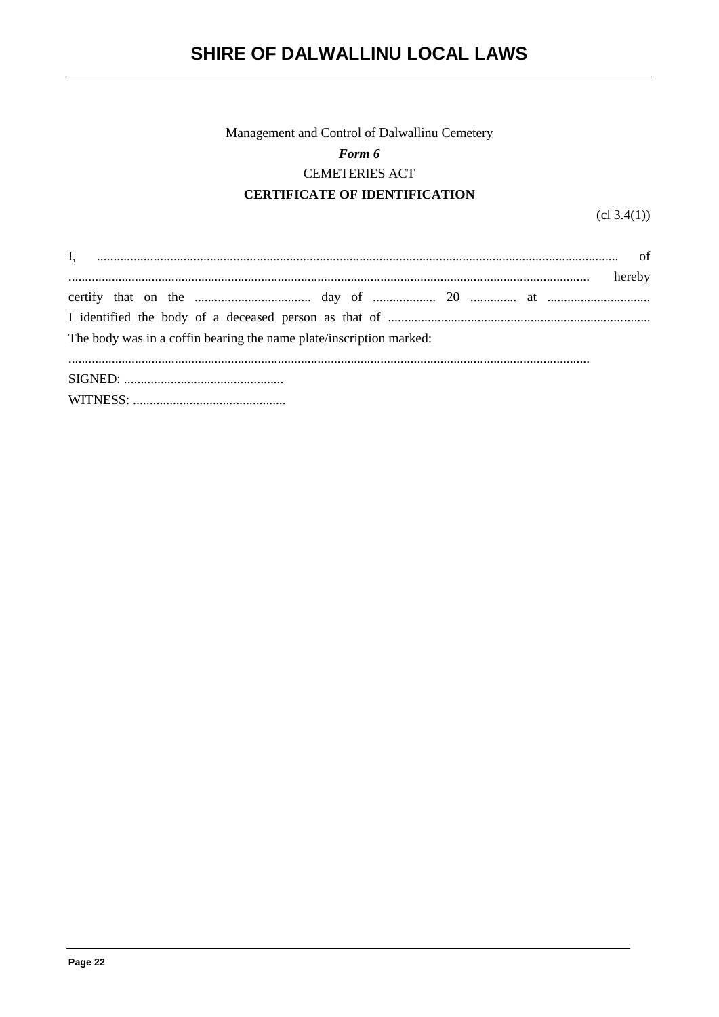# Management and Control of Dalwallinu Cemetery Form 6 **CEMETERIES ACT CERTIFICATE OF IDENTIFICATION**

 $cl 3.4(1)$ 

| The body was in a coffin bearing the name plate/inscription marked: |
|---------------------------------------------------------------------|
|                                                                     |
|                                                                     |
|                                                                     |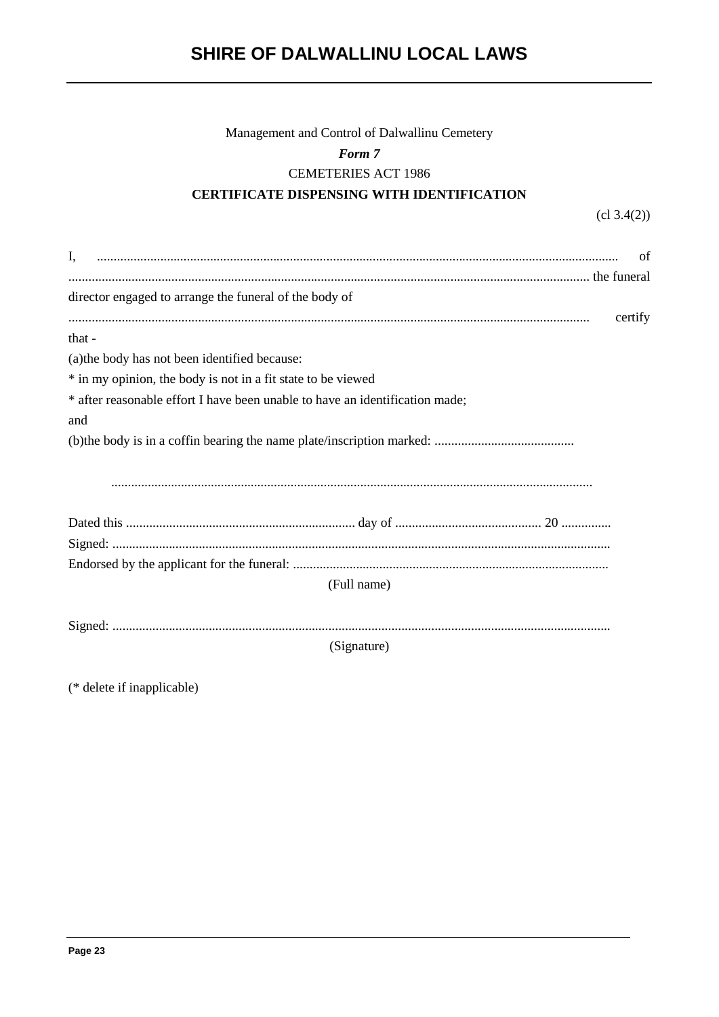# Management and Control of Dalwallinu Cemetery Form 7 **CEMETERIES ACT 1986** CERTIFICATE DISPENSING WITH IDENTIFICATION

 $(cl 3.4(2))$ 

| Ι,                                                                           | 0t |
|------------------------------------------------------------------------------|----|
|                                                                              |    |
| director engaged to arrange the funeral of the body of                       |    |
| certify                                                                      |    |
| that -                                                                       |    |
| (a) the body has not been identified because:                                |    |
| * in my opinion, the body is not in a fit state to be viewed                 |    |
| * after reasonable effort I have been unable to have an identification made; |    |
| and                                                                          |    |
|                                                                              |    |
|                                                                              |    |
|                                                                              |    |
|                                                                              |    |
|                                                                              |    |
|                                                                              |    |
|                                                                              |    |
| (Full name)                                                                  |    |
|                                                                              |    |
|                                                                              |    |
| (Signature)                                                                  |    |

(\* delete if inapplicable)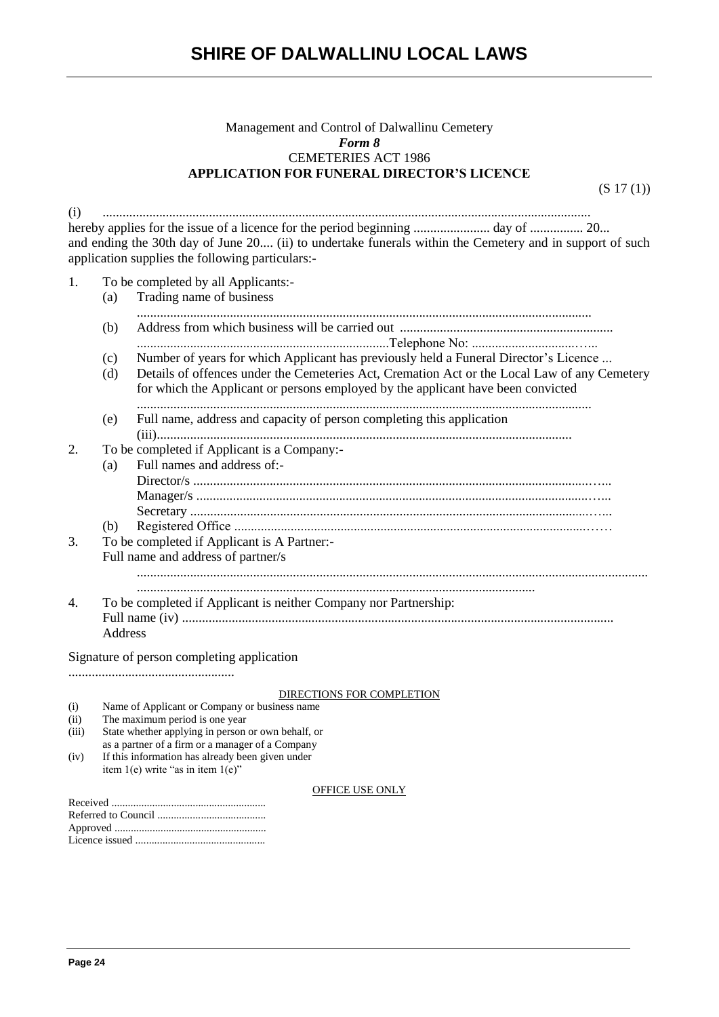### Management and Control of Dalwallinu Cemetery *Form 8* CEMETERIES ACT 1986 **APPLICATION FOR FUNERAL DIRECTOR'S LICENCE**

(S 17 (1))

(i) ................................................................................................................................................... hereby applies for the issue of a licence for the period beginning ....................... day of ................ 20... and ending the 30th day of June 20.... (ii) to undertake funerals within the Cemetery and in support of such application supplies the following particulars:- 1. To be completed by all Applicants:- (a) Trading name of business ......................................................................................................................................... (b) Address from which business will be carried out ................................................................ ............................................................................Telephone No: ...............................…... (c) Number of years for which Applicant has previously held a Funeral Director's Licence ... (d) Details of offences under the Cemeteries Act, Cremation Act or the Local Law of any Cemetery for which the Applicant or persons employed by the applicant have been convicted ......................................................................................................................................... (e) Full name, address and capacity of person completing this application (iii)............................................................................................................................. 2. To be completed if Applicant is a Company:- (a) Full names and address of:- Director/s .......................................................................................................................…... Manager/s ......................................................................................................................…... Secretary ........................................................................................................................…... (b) Registered Office ..........................................................................................................…… 3. To be completed if Applicant is A Partner:- Full name and address of partner/s .......................................................................................................................................................... ........................................................................................................................ 4. To be completed if Applicant is neither Company nor Partnership: Full name (iv) .................................................................................................................................. Address Signature of person completing application .................................................. DIRECTIONS FOR COMPLETION (i) Name of Applicant or Company or business name (ii) The maximum period is one year (iii) State whether applying in person or own behalf, or as a partner of a firm or a manager of a Company

(iv) If this information has already been given under item 1(e) write "as in item 1(e)"

#### OFFICE USE ONLY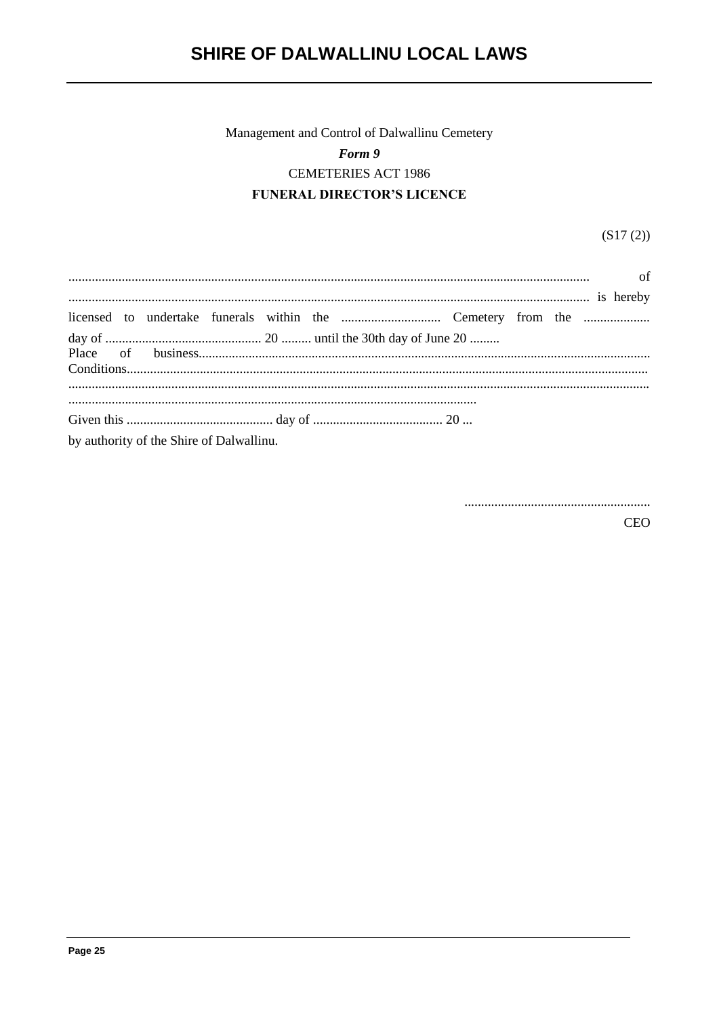# Management and Control of Dalwallinu Cemetery Form 9 **CEMETERIES ACT 1986 FUNERAL DIRECTOR'S LICENCE**

 $(S17(2))$ 

|                                          |  |  | is hereby |  |  |  |
|------------------------------------------|--|--|-----------|--|--|--|
|                                          |  |  |           |  |  |  |
|                                          |  |  |           |  |  |  |
|                                          |  |  |           |  |  |  |
|                                          |  |  |           |  |  |  |
|                                          |  |  |           |  |  |  |
|                                          |  |  |           |  |  |  |
|                                          |  |  |           |  |  |  |
| by authority of the Shire of Dalwallinu. |  |  |           |  |  |  |

**CEO**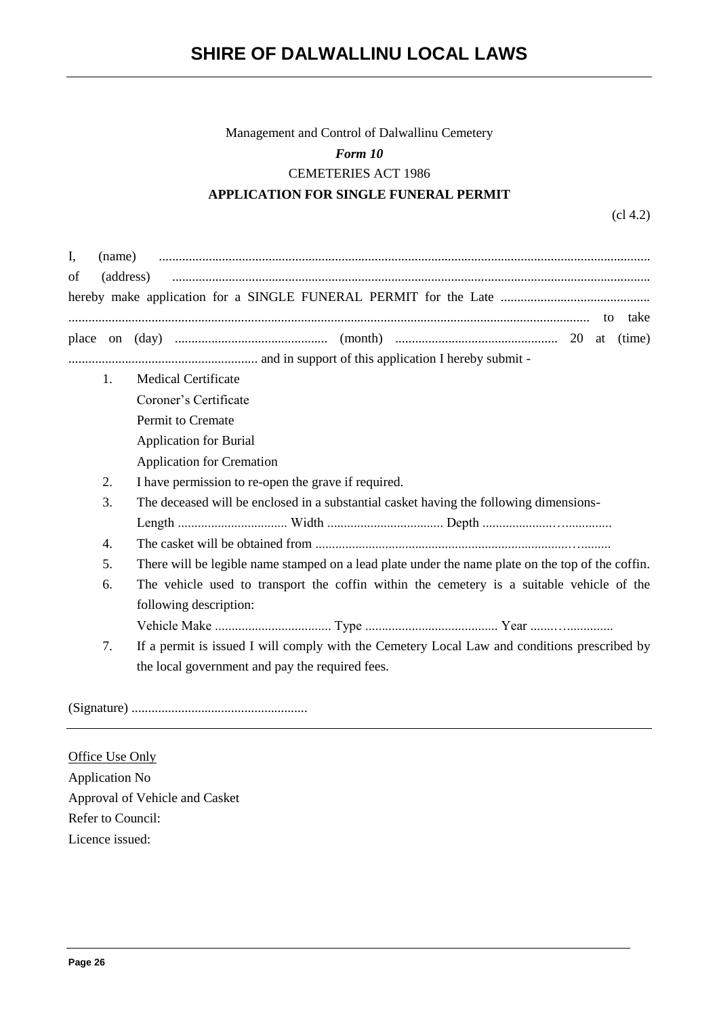# Management and Control of Dalwallinu Cemetery *Form 10* CEMETERIES ACT 1986 **APPLICATION FOR SINGLE FUNERAL PERMIT**

(cl 4.2)

| of | (address)                                                                                         |  |
|----|---------------------------------------------------------------------------------------------------|--|
|    |                                                                                                   |  |
|    |                                                                                                   |  |
| 1. | <b>Medical Certificate</b>                                                                        |  |
|    | Coroner's Certificate                                                                             |  |
|    | Permit to Cremate                                                                                 |  |
|    | <b>Application for Burial</b>                                                                     |  |
|    | <b>Application for Cremation</b>                                                                  |  |
| 2. | I have permission to re-open the grave if required.                                               |  |
| 3. | The deceased will be enclosed in a substantial casket having the following dimensions-            |  |
|    |                                                                                                   |  |
| 4. |                                                                                                   |  |
| 5. | There will be legible name stamped on a lead plate under the name plate on the top of the coffin. |  |
| 6. | The vehicle used to transport the coffin within the cemetery is a suitable vehicle of the         |  |
|    | following description:                                                                            |  |
|    |                                                                                                   |  |
| 7. | If a permit is issued I will comply with the Cemetery Local Law and conditions prescribed by      |  |
|    | the local government and pay the required fees.                                                   |  |

(Signature) .....................................................

Office Use Only Application No Approval of Vehicle and Casket Refer to Council: Licence issued: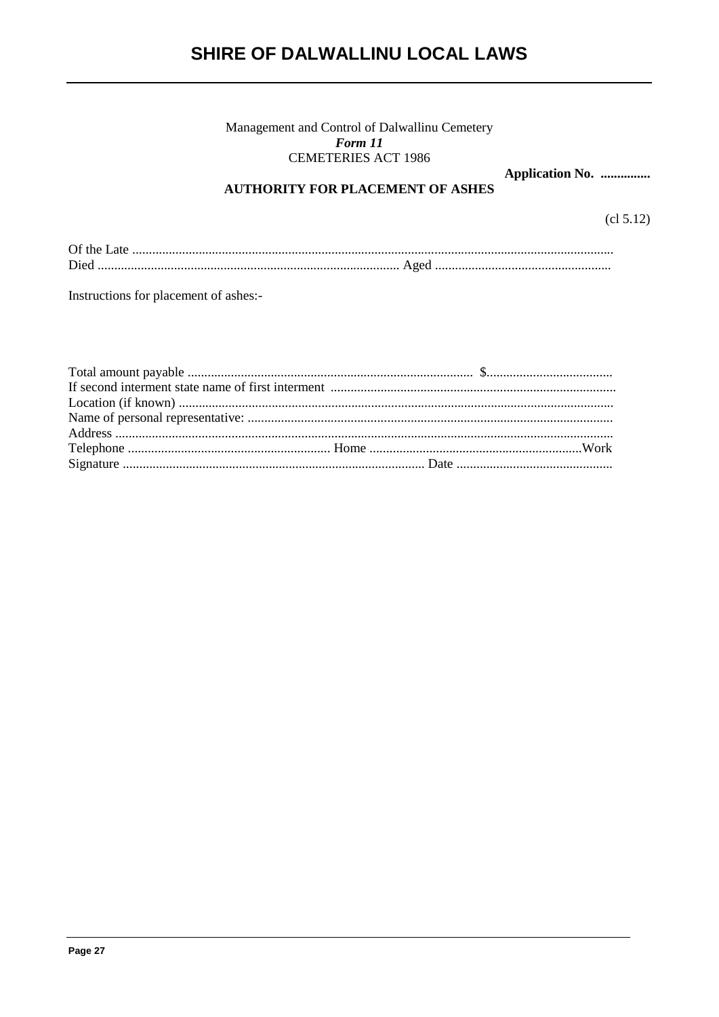# Management and Control of Dalwallinu Cemetery<br> $\boldsymbol{Form}$  11 **CEMETERIES ACT 1986**

Application No. ...............

# **AUTHORITY FOR PLACEMENT OF ASHES**

 $cl 5.12)$ 

| Died |  |
|------|--|

Instructions for placement of ashes:-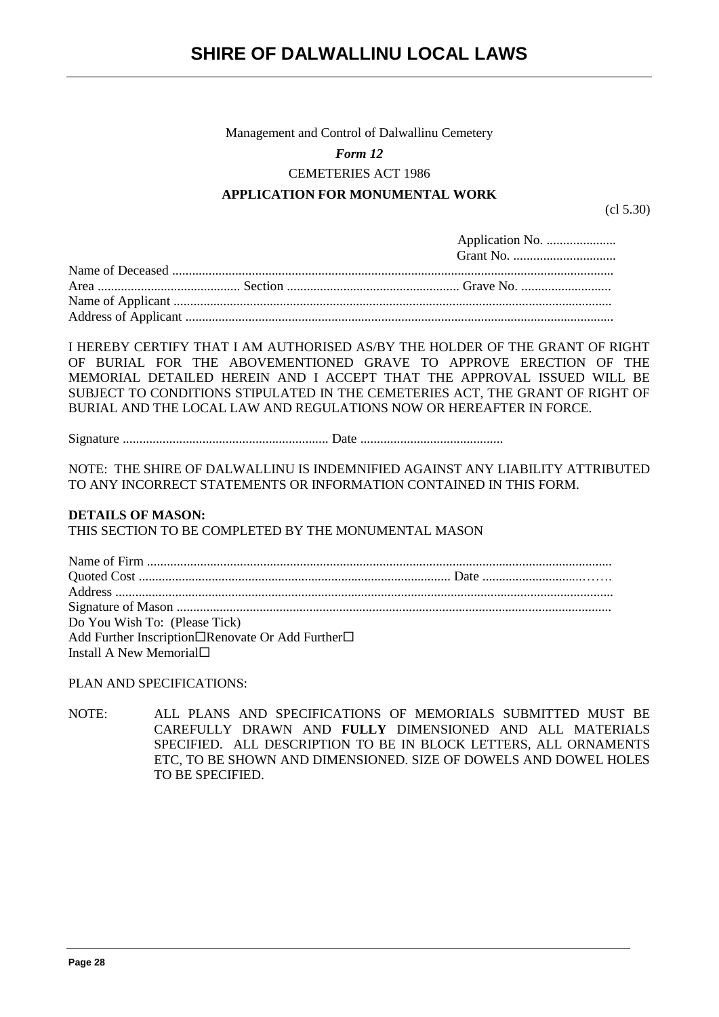Management and Control of Dalwallinu Cemetery

### *Form 12*

CEMETERIES ACT 1986

# **APPLICATION FOR MONUMENTAL WORK**

(cl 5.30)

I HEREBY CERTIFY THAT I AM AUTHORISED AS/BY THE HOLDER OF THE GRANT OF RIGHT OF BURIAL FOR THE ABOVEMENTIONED GRAVE TO APPROVE ERECTION OF THE MEMORIAL DETAILED HEREIN AND I ACCEPT THAT THE APPROVAL ISSUED WILL BE SUBJECT TO CONDITIONS STIPULATED IN THE CEMETERIES ACT, THE GRANT OF RIGHT OF BURIAL AND THE LOCAL LAW AND REGULATIONS NOW OR HEREAFTER IN FORCE.

Signature .............................................................. Date ...........................................

NOTE: THE SHIRE OF DALWALLINU IS INDEMNIFIED AGAINST ANY LIABILITY ATTRIBUTED TO ANY INCORRECT STATEMENTS OR INFORMATION CONTAINED IN THIS FORM.

#### **DETAILS OF MASON:**

THIS SECTION TO BE COMPLETED BY THE MONUMENTAL MASON

| Do You Wish To: (Please Tick)                    |  |
|--------------------------------------------------|--|
| Add Further Inscription□Renovate Or Add Further□ |  |
| Install A New Memorial $\square$                 |  |

## PLAN AND SPECIFICATIONS:

NOTE: ALL PLANS AND SPECIFICATIONS OF MEMORIALS SUBMITTED MUST BE CAREFULLY DRAWN AND **FULLY** DIMENSIONED AND ALL MATERIALS SPECIFIED. ALL DESCRIPTION TO BE IN BLOCK LETTERS, ALL ORNAMENTS ETC, TO BE SHOWN AND DIMENSIONED. SIZE OF DOWELS AND DOWEL HOLES TO BE SPECIFIED.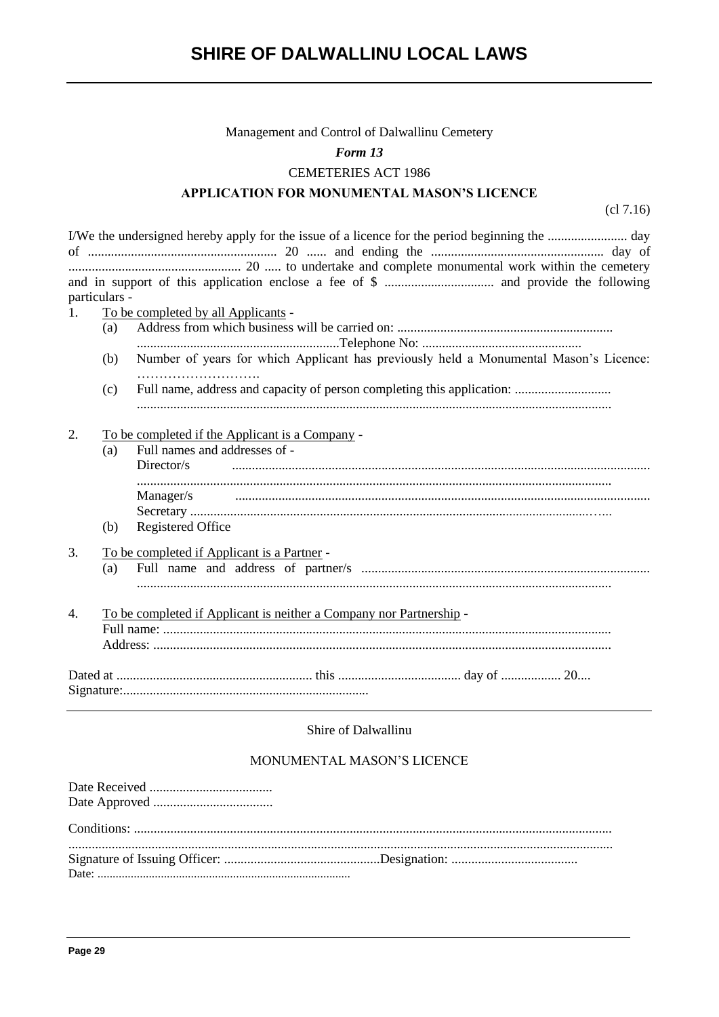#### Management and Control of Dalwallinu Cemetery

#### Form 13

#### **CEMETERIES ACT 1986**

#### **APPLICATION FOR MONUMENTAL MASON'S LICENCE**

 $(c17.16)$ 

particulars - $1.$ To be completed by all Applicants - $(a)$ Number of years for which Applicant has previously held a Monumental Mason's Licence: (b) Full name, address and capacity of person completing this application: .............................  $(c)$  $\overline{2}$ . To be completed if the Applicant is a Company -Full names and addresses of - $(a)$ Director/s  $\begin{bmatrix} \begin{bmatrix} 0 & 0 & 0 & 0 \\ 0 & 0 & 0 & 0 \\ 0 & 0 & 0 & 0 \\ 0 & 0 & 0 & 0 \\ 0 & 0 & 0 & 0 \\ 0 & 0 & 0 & 0 \\ 0 & 0 & 0 & 0 \\ 0 & 0 & 0 & 0 & 0 \\ 0 & 0 & 0 & 0 & 0 \\ 0 & 0 & 0 & 0 & 0 \\ 0 & 0 & 0 & 0 & 0 \\ 0 & 0 & 0 & 0 & 0 \\ 0 & 0 & 0 & 0 & 0 \\ 0 & 0 & 0 & 0 & 0 \\ 0 & 0 & 0 & 0 & 0 \\ 0 &$ Manager/s  $(b)$ **Registered Office**  $\overline{3}$ . To be completed if Applicant is a Partner - $(a)$  $\overline{4}$ . To be completed if Applicant is neither a Company nor Partnership -

### Shire of Dalwallinu

# MONUMENTAL MASON'S LICENCE